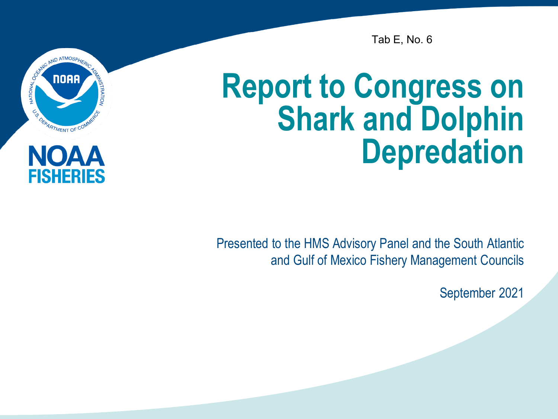

ISHERIES

Tab E, No. 6

### **Report to Congress on Shark and Dolphin Depredation**

Presented to the HMS Advisory Panel and the South Atlantic and Gulf of Mexico Fishery Management Councils

September 2021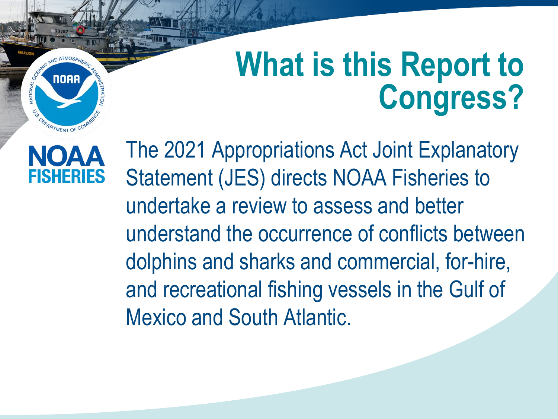## **What is this Report to Congress?**



DEPARTMENT OF CO

**NOAA** 

The 2021 Appropriations Act Joint Explanatory Statement (JES) directs NOAA Fisheries to undertake a review to assess and better understand the occurrence of conflicts between dolphins and sharks and commercial, for-hire, and recreational fishing vessels in the Gulf of Mexico and South Atlantic.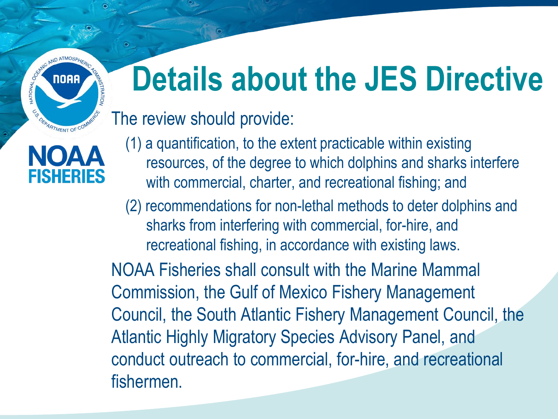## **Details about the JES Directive**

#### The review should provide:

ATMOSPHIC AND ATMOSPH

CO DEPARTMENT OF COM

NOAA

**FISHERIES** 

- (1) a quantification, to the extent practicable within existing resources, of the degree to which dolphins and sharks interfere with commercial, charter, and recreational fishing; and
- (2) recommendations for non-lethal methods to deter dolphins and sharks from interfering with commercial, for-hire, and recreational fishing, in accordance with existing laws.

NOAA Fisheries shall consult with the Marine Mammal Commission, the Gulf of Mexico Fishery Management Council, the South Atlantic Fishery Management Council, the Atlantic Highly Migratory Species Advisory Panel, and conduct outreach to commercial, for-hire, and recreational fishermen.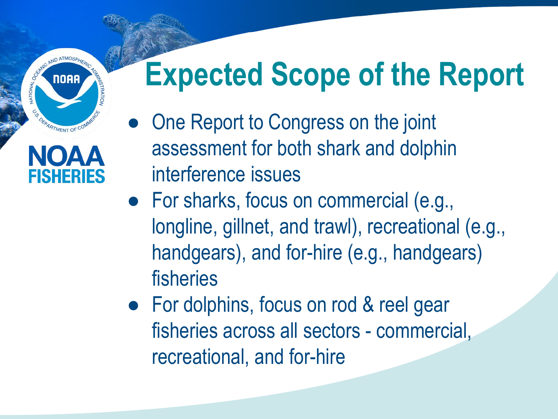## **Expected Scope of the Report**

● One Report to Congress on the joint assessment for both shark and dolphin interference issues

ND ATMOSP

**NOAA** 

**ATMENT OF** 

FISHFRIFS

**ATIONAL** 

- For sharks, focus on commercial (e.g., longline, gillnet, and trawl), recreational (e.g., handgears), and for-hire (e.g., handgears) fisheries
- For dolphins, focus on rod & reel gear fisheries across all sectors - commercial, recreational, and for-hire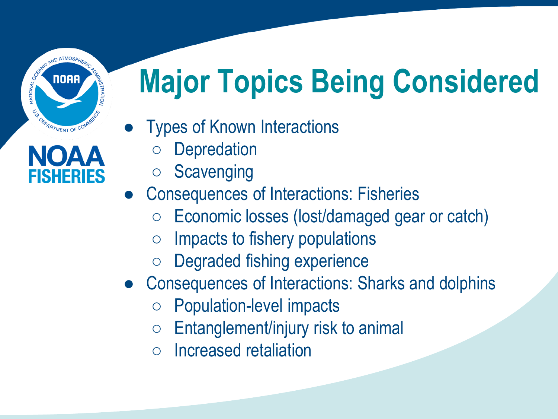# **Major Topics Being Considered**

- Types of Known Interactions
	- **Depredation**
	- **Scavenging**
- Consequences of Interactions: Fisheries
	- Economic losses (lost/damaged gear or catch)
	- Impacts to fishery populations
	- Degraded fishing experience
- Consequences of Interactions: Sharks and dolphins
	- Population-level impacts
	- $\circ$  Entanglement/injury risk to animal
	- Increased retaliation



**EXAMPLE AND ATMOSPHY**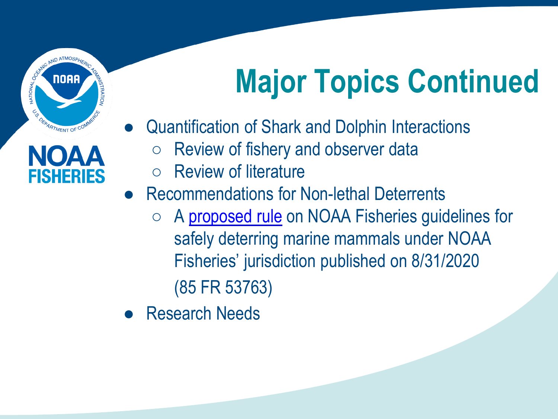**CONSIDERED ATMOSPHE** ES DEPARTMENT OF COM

# **Major Topics Continued**

FISHERIES

- Quantification of Shark and Dolphin Interactions
	- Review of fishery and observer data
	- **Review of literature**
- Recommendations for Non-lethal Deterrents
	- A [proposed rule](https://www.federalregister.gov/documents/2020/08/31/2020-18718/guidelines-for-safely-deterring-marine-mammals) on NOAA Fisheries guidelines for safely deterring marine mammals under NOAA Fisheries' jurisdiction published on 8/31/2020 (85 FR 53763)
- Research Needs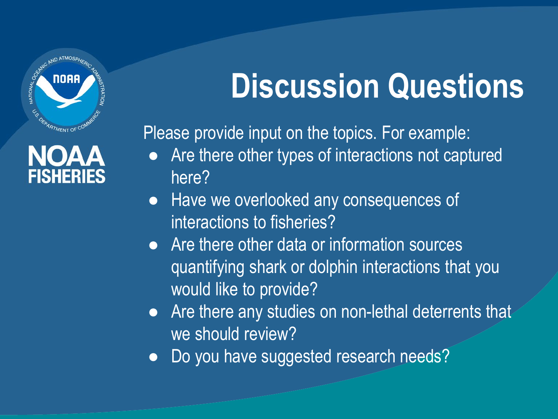

### **NOAA FISHERIES**

# **Discussion Questions**

Please provide input on the topics. For example:

- Are there other types of interactions not captured here?
- Have we overlooked any consequences of interactions to fisheries?
- Are there other data or information sources quantifying shark or dolphin interactions that you would like to provide?
- Are there any studies on non-lethal deterrents that we should review?
- Do you have suggested research needs?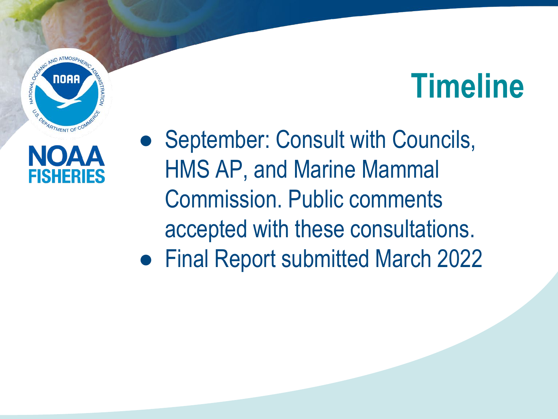





● September: Consult with Councils, HMS AP, and Marine Mammal Commission. Public comments accepted with these consultations.

● Final Report submitted March 2022